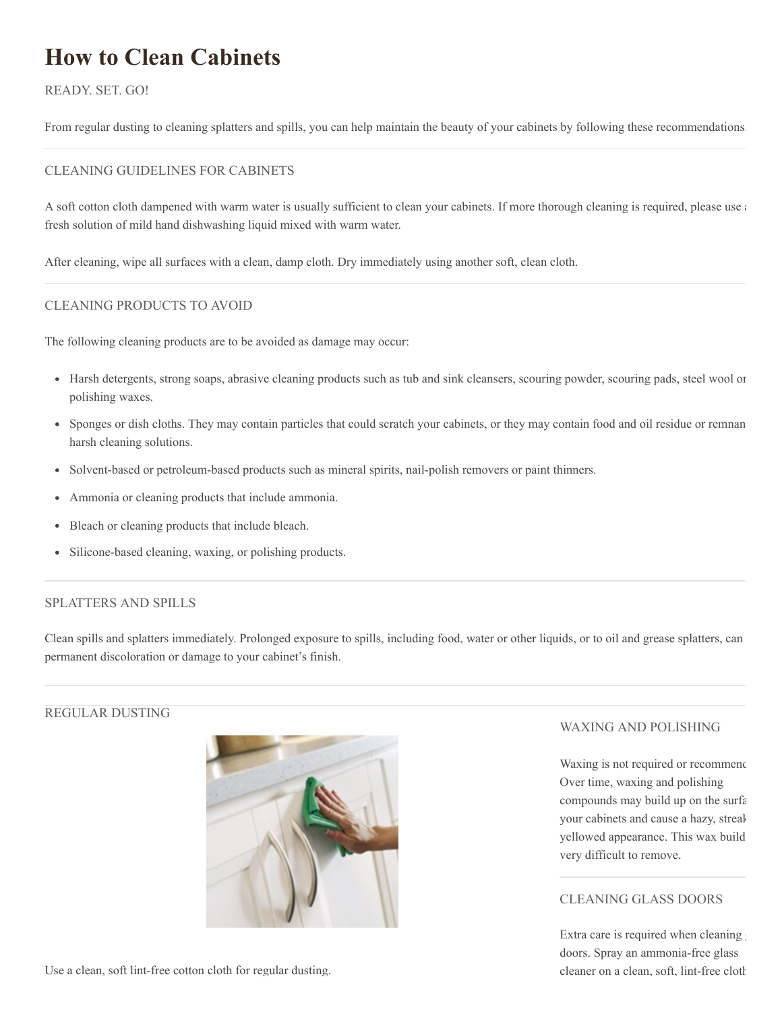# **How to Clean Cabinets**

# READY. SET. GO!

From regular dusting to cleaning splatters and spills, you can help maintain the beauty of your cabinets by following these recommendations.

## CLEANING GUIDELINES FOR CABINETS

A soft cotton cloth dampened with warm water is usually sufficient to clean your cabinets. If more thorough cleaning is required, please use a fresh solution of mild hand dishwashing liquid mixed with warm water.

After cleaning, wipe all surfaces with a clean, damp cloth. Dry immediately using another soft, clean cloth.

# CLEANING PRODUCTS TO AVOID

The following cleaning products are to be avoided as damage may occur:

- Harsh detergents, strong soaps, abrasive cleaning products such as tub and sink cleansers, scouring powder, scouring pads, steel wool or polishing waxes.
- Sponges or dish cloths. They may contain particles that could scratch your cabinets, or they may contain food and oil residue or remnan harsh cleaning solutions.
- Solvent-based or petroleum-based products such as mineral spirits, nail-polish removers or paint thinners.
- Ammonia or cleaning products that include ammonia.
- Bleach or cleaning products that include bleach.  $\bullet$
- Silicone-based cleaning, waxing, or polishing products.  $\bullet$

## SPLATTERS AND SPILLS

Clean spills and splatters immediately. Prolonged exposure to spills, including food, water or other liquids, or to oil and grease splatters, can permanent discoloration or damage to your cabinet's finish.

#### REGULAR DUSTING



#### Use a clean, soft lint-free cotton cloth for regular dusting.

## WAXING AND POLISHING

Waxing is not required or recommend Over time, waxing and polishing compounds may build up on the surfa your cabinets and cause a hazy, streak yellowed appearance. This wax build very difficult to remove.

# CLEANING GLASS DOORS

Extra care is required when cleaning doors. Spray an ammonia-free glass cleaner on a clean, soft, lint-free cloth